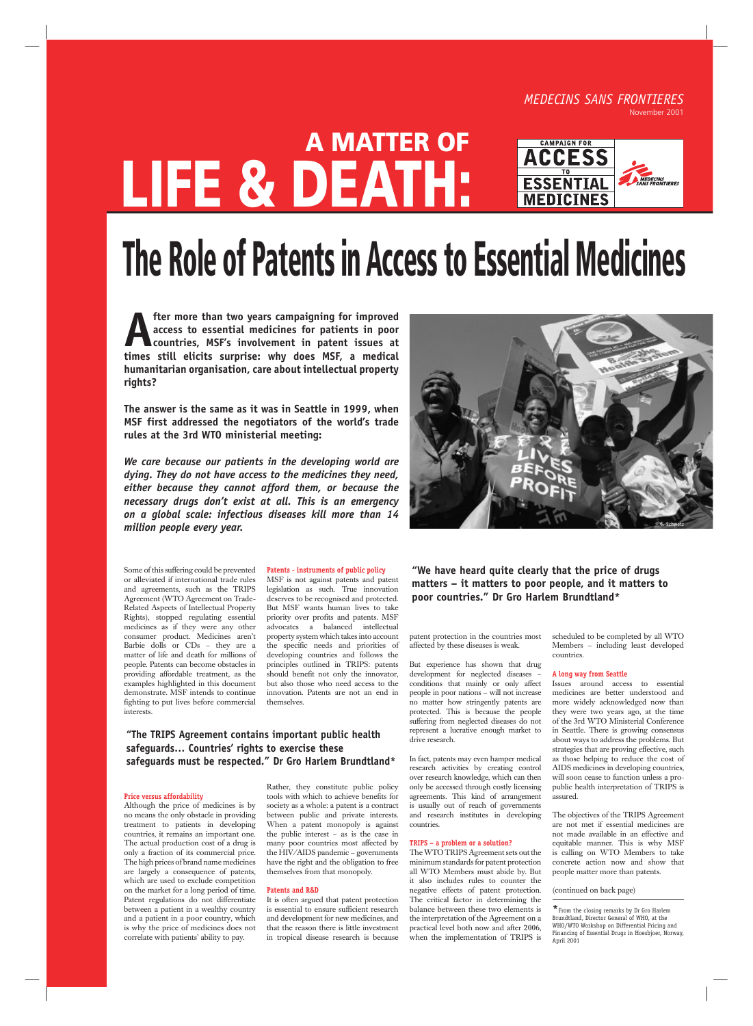#### A MATTER OF **CAMPAIGN FOR ACCESS** LIFE & DEATH: **MEDECINS<br>NS FRONTIERES ESSENTIAL MEDICINES**

**After more than two years campaigning for improved access to essential medicines for patients in poor countries, MSF's involvement in patent issues at times still elicits surprise: why does MSF, a medical access to essential medicines for patients in poor countries, MSF's involvement in patent issues at times still elicits surprise: why does MSF, a medical humanitarian organisation, care about intellectual property rights?**

**The answer is the same as it was in Seattle in 1999, when MSF first addressed the negotiators of the world's trade rules at the 3rd WTO ministerial meeting:** 

*We care because our patients in the developing world are dying. They do not have access to the medicines they need, either because they cannot afford them, or because the necessary drugs don't exist at all. This is an emergency on a global scale: infectious diseases kill more than 14 million people every year.*

Some of this suffering could be prevented or alleviated if international trade rules and agreements, such as the TRIPS Agreement (WTO Agreement on Trade-Related Aspects of Intellectual Property Rights), stopped regulating essential medicines as if they were any other consumer product. Medicines aren't Barbie dolls or CDs – they are a matter of life and death for millions of people. Patents can become obstacles in providing affordable treatment, as the examples highlighted in this document demonstrate. MSF intends to continue fighting to put lives before commercial

interests.

#### **Price versus affordability**

Although the price of medicines is by no means the only obstacle in providing treatment to patients in developing countries, it remains an important one. The actual production cost of a drug is only a fraction of its commercial price. The high prices of brand name medicines are largely a consequence of patents, which are used to exclude competition on the market for a long period of time. Patent regulations do not differentiate between a patient in a wealthy country and a patient in a poor country, which is why the price of medicines does not correlate with patients' ability to pay.

#### **Patents - instruments of public policy**

MSF is not against patents and patent legislation as such. True innovation deserves to be recognised and protected. But MSF wants human lives to take priority over profits and patents. MSF advocates a balanced intellectual property system which takes into account the specific needs and priorities of developing countries and follows the principles outlined in TRIPS: patents should benefit not only the innovator, but also those who need access to the innovation. Patents are not an end in themselves.

Rather, they constitute public policy tools with which to achieve benefits for society as a whole: a patent is a contract between public and private interests. When a patent monopoly is against the public interest – as is the case in many poor countries most affected by the HIV/AIDS pandemic – governments have the right and the obligation to free themselves from that monopoly.

#### November 2001 *MEDECINS SANS FRONTIERES*

#### **Patents and R&D**

It is often argued that patent protection is essential to ensure sufficient research and development for new medicines, and that the reason there is little investment in tropical disease research is because patent protection in the countries most affected by these diseases is weak.

But experience has shown that drug development for neglected diseases – conditions that mainly or only affect people in poor nations – will not increase no matter how stringently patents are protected. This is because the people suffering from neglected diseases do not represent a lucrative enough market to drive research.

In fact, patents may even hamper medical research activities by creating control over research knowledge, which can then only be accessed through costly licensing agreements. This kind of arrangement is usually out of reach of governments and research institutes in developing countries.

#### **TRIPS – a problem or a solution?**

The WTO TRIPS Agreement sets out the minimum standards for patent protection all WTO Members must abide by. But it also includes rules to counter the negative effects of patent protection. The critical factor in determining the balance between these two elements is the interpretation of the Agreement on a practical level both now and after 2006, when the implementation of TRIPS is

#### **"The TRIPS Agreement contains important public health safeguards… Countries' rights to exercise these safeguards must be respected." Dr Gro Harlem Brundtland\***

**\***From the closing remarks by Dr Gro Harlem Brundtland, Director General of WHO, at the WHO/WTO Workshop on Differential Pricing and Financing of Essential Drugs in Hoesbjoer, Norway, April 2001

**"We have heard quite clearly that the price of drugs matters – it matters to poor people, and it matters to poor countries." Dr Gro Harlem Brundtland\***

> scheduled to be completed by all WTO Members – including least developed countries.

#### **A long way from Seattle**

Issues around access to essential medicines are better understood and more widely acknowledged now than they were two years ago, at the time of the 3rd WTO Ministerial Conference in Seattle. There is growing consensus about ways to address the problems. But strategies that are proving effective, such as those helping to reduce the cost of AIDS medicines in developing countries, will soon cease to function unless a propublic health interpretation of TRIPS is assured.

The objectives of the TRIPS Agreement are not met if essential medicines are not made available in an effective and equitable manner. This is why MSF is calling on WTO Members to take concrete action now and show that people matter more than patents.

#### (continued on back page)

# The Role of Patents in Access to Essential Medicines

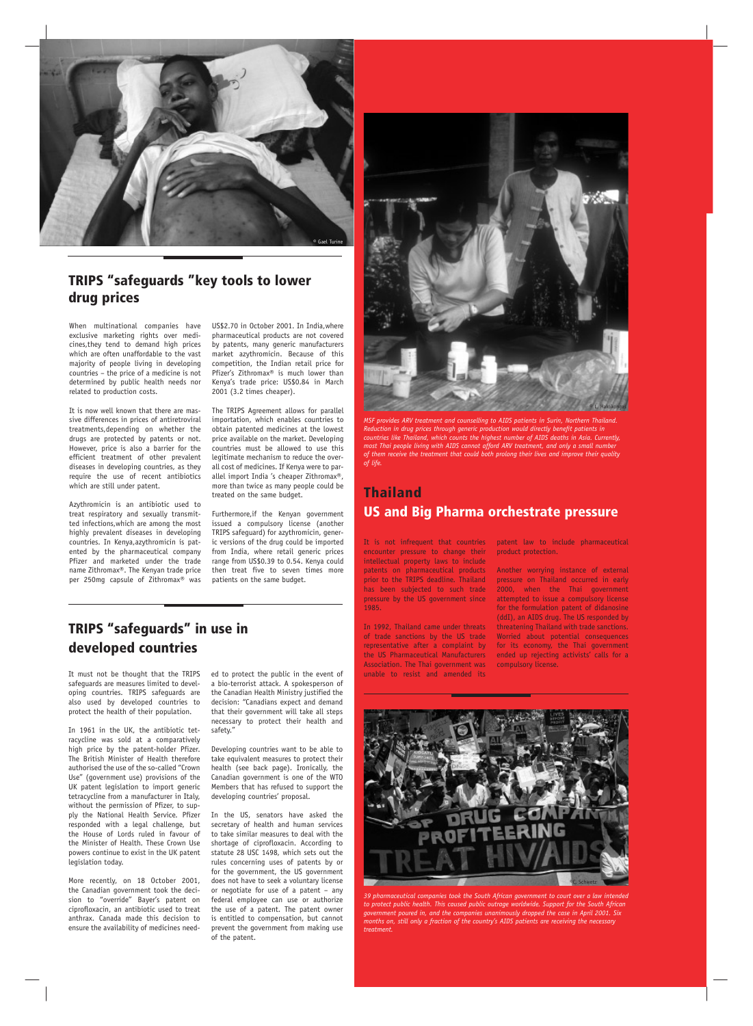When multinational companies have exclusive marketing rights over medicines,they tend to demand high prices which are often unaffordable to the vast majority of people living in developing countries – the price of a medicine is not determined by public health needs nor related to production costs.

It is now well known that there are massive differences in prices of antiretroviral treatments,depending on whether the drugs are protected by patents or not. However, price is also a barrier for the efficient treatment of other prevalent diseases in developing countries, as they require the use of recent antibiotics which are still under patent.

Azythromicin is an antibiotic used to treat respiratory and sexually transmitted infections,which are among the most highly prevalent diseases in developing countries. In Kenya,azythromicin is patented by the pharmaceutical company Pfizer and marketed under the trade name Zithromax®. The Kenyan trade price per 250mg capsule of Zithromax® was

## TRIPS "safeguards "key tools to lower drug prices

US\$2.70 in October 2001. In India,where pharmaceutical products are not covered by patents, many generic manufacturers market azythromicin. Because of this competition, the Indian retail price for Pfizer's Zithromax® is much lower than Kenya's trade price: US\$0.84 in March 2001 (3.2 times cheaper).

The TRIPS Agreement allows for parallel importation, which enables countries to obtain patented medicines at the lowest price available on the market. Developing countries must be allowed to use this legitimate mechanism to reduce the overall cost of medicines. If Kenya were to parallel import India 's cheaper Zithromax®, more than twice as many people could be treated on the same budget.

Furthermore,if the Kenyan government issued a compulsory license (another TRIPS safeguard) for azythromicin, generic versions of the drug could be imported from India, where retail generic prices range from US\$0.39 to 0.54. Kenya could then treat five to seven times more patients on the same budget.

It must not be thought that the TRIPS safeguards are measures limited to developing countries. TRIPS safeguards are also used by developed countries to

protect the health of their population.

In 1961 in the UK, the antibiotic tetracycline was sold at a comparatively high price by the patent-holder Pfizer. The British Minister of Health therefore authorised the use of the so-called "Crown Use" (government use) provisions of the UK patent legislation to import generic tetracycline from a manufacturer in Italy, without the permission of Pfizer, to supply the National Health Service. Pfizer responded with a legal challenge, but the House of Lords ruled in favour of the Minister of Health. These Crown Use powers continue to exist in the UK patent legislation today.



*MSF provides ARV treatment and counselling to AIDS patients in Surin, Northern Thailand. Reduction in drug prices through generic production would directly benefit patients in countries like Thailand, which counts the highest number of AIDS deaths in Asia. Currently, most Thai people living with AIDS cannot afford ARV treatment, and only a small number of them receive the treatment that could both prolong their lives and improve their quality of life.*

More recently, on 18 October 2001, the Canadian government took the decision to "override" Bayer's patent on ciprofloxacin, an antibiotic used to treat anthrax. Canada made this decision to ensure the availability of medicines need-

## TRIPS "safeguards" in use in developed countries



*39 pharmaceutical companies took the South African government to court over a law intended to protect public health. This caused public outrage worldwide. Support for the South African government poured in, and the companies unanimously dropped the case in April 2001. Six months on, still only a fraction of the country's AIDS patients are receiving the necessary treatment.*



It is not infrequent that countries encounter pressure to change their intellectual property laws to include patents on pharmaceutical products prior to the TRIPS deadline. Thailand has been subjected to such trade pressure by the US government since 1985.

In 1992, Thailand came under threats of trade sanctions by the US trade representative after a complaint by the US Pharmaceutical Manufacturers Association. The Thai government was unable to resist and amended its

patent law to include pharmaceutical product protection.

Another worrying instance of external pressure on Thailand occurred in early 2000, when the Thai government attempted to issue a compulsory license for the formulation patent of didanosine (ddI), an AIDS drug. The US responded by threatening Thailand with trade sanctions. Worried about potential consequences for its economy, the Thai government ended up rejecting activists' calls for a compulsory license.

## Thailand US and Big Pharma orchestrate pressure

ed to protect the public in the event of a bio-terrorist attack. A spokesperson of the Canadian Health Ministry justified the decision: "Canadians expect and demand that their government will take all steps necessary to protect their health and safety."

Developing countries want to be able to take equivalent measures to protect their health (see back page). Ironically, the Canadian government is one of the WTO Members that has refused to support the developing countries' proposal.

In the US, senators have asked the secretary of health and human services to take similar measures to deal with the shortage of ciprofloxacin. According to statute 28 USC 1498, which sets out the rules concerning uses of patents by or for the government, the US government does not have to seek a voluntary license or negotiate for use of a patent – any federal employee can use or authorize the use of a patent. The patent owner is entitled to compensation, but cannot prevent the government from making use of the patent.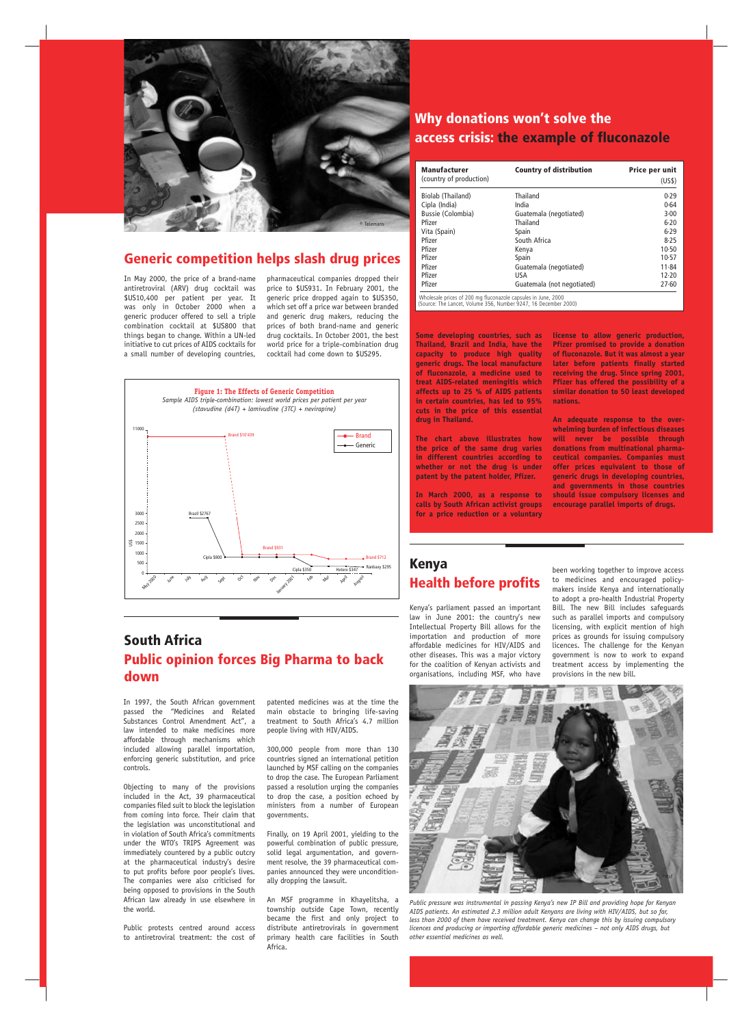## South Africa Public opinion forces Big Pharma to back down

In May 2000, the price of a brand-name antiretroviral (ARV) drug cocktail was \$US10,400 per patient per year. It was only in October 2000 when a generic producer offered to sell a triple combination cocktail at \$US800 that things began to change. Within a UN-led initiative to cut prices of AIDS cocktails for a small number of developing countries,

**Some developing countries, such as Thailand, Brazil and India, have the capacity to produce high quality generic drugs. The local manufacture of fluconazole, a medicine used to treat AIDS-related meningitis which affects up to 25 % of AIDS patients in certain countries, has led to 95% cuts in the price of this essential drug in Thailand.** 

**The chart above illustrates how the price of the same drug varies in different countries according to whether or not the drug is under patent by the patent holder, Pfizer.**

**In March 2000, as a response to calls by South African activist groups for a price reduction or a voluntary** 

|                                                | <b>Nhy donations won't solve the</b>          |                          |
|------------------------------------------------|-----------------------------------------------|--------------------------|
|                                                |                                               |                          |
| access crisis: the example of fluconazole      |                                               |                          |
| <b>Manufacturer</b><br>(country of production) | <b>Country of distribution</b>                | Price per unit<br>(US\$) |
| Biolab (Thailand)                              | Thailand                                      | 0.29                     |
| Cipla (India)<br>Bussie (Colombia)             | India<br>Guatemala (negotiated)               | 0.64<br>3.00             |
| Pfizer<br>Vita (Spain)<br>Pfizer               | Thailand<br>Spain                             | $6 - 20$<br>6.29<br>8.25 |
| Pfizer<br>Pfizer                               | South Africa<br>Kenya                         | $10-50$<br>$10-57$       |
| Pfizer<br>Pfizer                               | Spain<br>Guatemala (negotiated)<br><b>USA</b> | $11 - 84$<br>$12 - 20$   |

Wholesale prices of 200 mg fluconazole capsules in June, 2000 (Source: The Lancet, Volume 356, Number 9247, 16 December 2000)



passed the "Medicines and Related Substances Control Amendment Act", a law intended to make medicines more affordable through mechanisms which included allowing parallel importation, enforcing generic substitution, and price controls.

In 1997, the South African government patented medicines was at the time the

Objecting to many of the provisions included in the Act, 39 pharmaceutical companies filed suit to block the legislation from coming into force. Their claim that the legislation was unconstitutional and in violation of South Africa's commitments under the WTO's TRIPS Agreement was immediately countered by a public outcry at the pharmaceutical industry's desire to put profits before poor people's lives. The companies were also criticised for being opposed to provisions in the South African law already in use elsewhere in the world.

Public protests centred around access to antiretroviral treatment: the cost of

main obstacle to bringing life-saving treatment to South Africa's 4.7 million people living with HIV/AIDS.

300,000 people from more than 130 countries signed an international petition launched by MSF calling on the companies to drop the case. The European Parliament passed a resolution urging the companies to drop the case, a position echoed by ministers from a number of European governments.

Finally, on 19 April 2001, yielding to the powerful combination of public pressure, solid legal argumentation, and government resolve, the 39 pharmaceutical companies announced they were unconditionally dropping the lawsuit.

An MSF programme in Khayelitsha, a township outside Cape Town, recently became the first and only project to distribute antiretrovirals in government primary health care facilities in South Africa.



*Public pressure was instrumental in passing Kenya's new IP Bill and providing hope for Kenyan AIDS patients. An estimated 2.3 million adult Kenyans are living with HIV/AIDS, but so far, less than 2000 of them have received treatment. Kenya can change this by issuing compulsory licences and producing or importing affordable generic medicines – not only AIDS drugs, but other essential medicines as well.*



pharmaceutical companies dropped their price to \$US931. In February 2001, the generic price dropped again to \$US350, which set off a price war between branded and generic drug makers, reducing the prices of both brand-name and generic drug cocktails. In October 2001, the best world price for a triple-combination drug cocktail had come down to \$US295.

**license to allow generic production, Pfizer promised to provide a donation of fluconazole. But it was almost a year later before patients finally started receiving the drug. Since spring 2001, Pfizer has offered the possibility of a similar donation to 50 least developed nations.** 

**An adequate response to the overwhelming burden of infectious diseases will never be possible through donations from multinational pharmaceutical companies. Companies must offer prices equivalent to those of generic drugs in developing countries, and governments in those countries should issue compulsory licenses and encourage parallel imports of drugs.**

## Generic competition helps slash drug prices

## Why donations won't solve the access crisis: the example of fluconazole

## Kenya Health before profits

Kenya's parliament passed an important law in June 2001: the country's new Intellectual Property Bill allows for the importation and production of more affordable medicines for HIV/AIDS and other diseases. This was a major victory for the coalition of Kenyan activists and organisations, including MSF, who have

been working together to improve access to medicines and encouraged policymakers inside Kenya and internationally to adopt a pro-health Industrial Property Bill. The new Bill includes safeguards such as parallel imports and compulsory licensing, with explicit mention of high prices as grounds for issuing compulsory licences. The challenge for the Kenyan government is now to work to expand treatment access by implementing the provisions in the new bill.